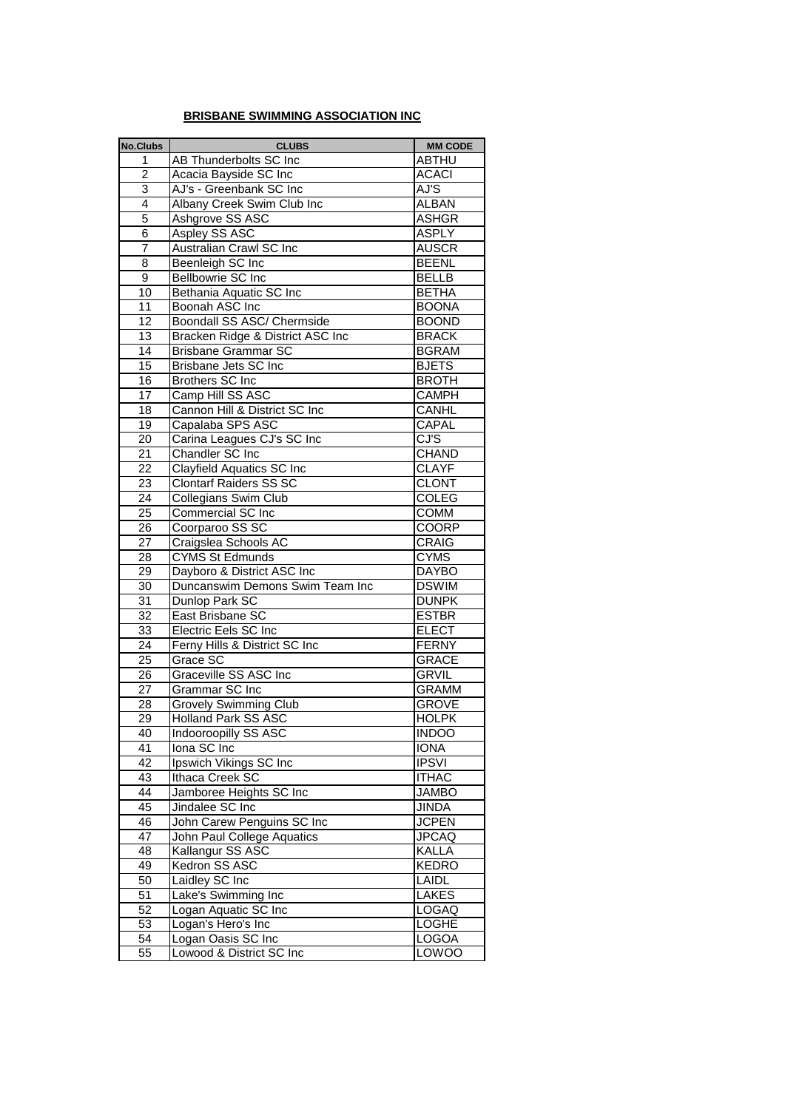# **BRISBANE SWIMMING ASSOCIATION INC**

| <b>No.Clubs</b> | <b>CLUBS</b>                      | <b>MM CODE</b>  |
|-----------------|-----------------------------------|-----------------|
| 1               | AB Thunderbolts SC Inc            | <b>ABTHU</b>    |
| $\overline{2}$  | Acacia Bayside SC Inc             | <b>ACACI</b>    |
| $\overline{3}$  | AJ's - Greenbank SC Inc           | AJ'S            |
| $\overline{4}$  | Albany Creek Swim Club Inc        | <b>ALBAN</b>    |
| 5               | Ashgrove SS ASC                   | <b>ASHGR</b>    |
| $\overline{6}$  | Aspley SS ASC                     | ASPLY           |
| 7               | Australian Crawl SC Inc           | <b>AUSCR</b>    |
| $\overline{8}$  | Beenleigh SC Inc                  | <b>BEENL</b>    |
| 9               | Bellbowrie SC Inc                 | <b>BELLB</b>    |
| 10              | Bethania Aquatic SC Inc           | <b>BETHA</b>    |
| $\overline{11}$ | Boonah ASC Inc                    | <b>BOONA</b>    |
| $\overline{12}$ | Boondall SS ASC/ Chermside        | <b>BOOND</b>    |
| 13              | Bracken Ridge & District ASC Inc. | <b>BRACK</b>    |
| 14              | <b>Brisbane Grammar SC</b>        | <b>BGRAM</b>    |
| $\overline{15}$ | Brisbane Jets SC Inc              | <b>BJETS</b>    |
| 16              | Brothers SC Inc                   | <b>BROTH</b>    |
| 17              | Camp Hill SS ASC                  | <b>CAMPH</b>    |
| 18              | Cannon Hill & District SC Inc     | CANHL           |
| $\overline{19}$ | Capalaba SPS ASC                  | CAPAL           |
| $\overline{20}$ | Carina Leagues CJ's SC Inc        | $\overline{CJ}$ |
| 21              | Chandler SC Inc                   | <b>CHAND</b>    |
| $\overline{22}$ | Clayfield Aquatics SC Inc         | <b>CLAYF</b>    |
| $\overline{23}$ | <b>Clontarf Raiders SS SC</b>     | <b>CLONT</b>    |
| 24              | <b>Collegians Swim Club</b>       | COLEG           |
| 25              | Commercial SC Inc                 | <b>COMM</b>     |
| 26              | Coorparoo SS SC                   | <b>COORP</b>    |
| $\overline{27}$ | Craigslea Schools AC              | <b>CRAIG</b>    |
| 28              | <b>CYMS St Edmunds</b>            | <b>CYMS</b>     |
| 29              | Dayboro & District ASC Inc        | <b>DAYBO</b>    |
| 30              | Duncanswim Demons Swim Team Inc   | <b>DSWIM</b>    |
| $\overline{31}$ | Dunlop Park SC                    | <b>DUNPK</b>    |
| $\overline{32}$ | East Brisbane SC                  | <b>ESTBR</b>    |
| $\overline{33}$ | Electric Eels SC Inc              | <b>ELECT</b>    |
| $\overline{24}$ | Ferny Hills & District SC Inc     | <b>FERNY</b>    |
| 25              | Grace SC                          | <b>GRACE</b>    |
| 26              | Graceville SS ASC Inc             | <b>GRVIL</b>    |
| $\overline{27}$ | Grammar SC Inc                    | <b>GRAMM</b>    |
| 28              | <b>Grovely Swimming Club</b>      | <b>GROVE</b>    |
| 29              | Holland Park SS ASC               | <b>HOLPK</b>    |
| 40              | Indooroopilly SS ASC              | <b>INDOO</b>    |
| 41              | Iona SC Inc                       | <b>IONA</b>     |
| 42              | Ipswich Vikings SC Inc            | <b>IPSVI</b>    |
| 43              | Ithaca Creek SC                   | <b>ITHAC</b>    |
| 44              | Jamboree Heights SC Inc           | <b>JAMBO</b>    |
| 45              | Jindalee SC Inc                   | <b>JINDA</b>    |
| 46              | John Carew Penguins SC Inc        | <b>JCPEN</b>    |
| 47              | John Paul College Aquatics        | <b>JPCAQ</b>    |
| 48              | Kallangur SS ASC                  | <b>KALLA</b>    |
| 49              | Kedron SS ASC                     | <b>KEDRO</b>    |
| 50              | Laidley SC Inc                    | <b>LAIDL</b>    |
| 51              | Lake's Swimming Inc               | <b>LAKES</b>    |
| 52              | Logan Aquatic SC Inc              | <b>LOGAQ</b>    |
| 53              | Logan's Hero's Inc                | <b>LOGHE</b>    |
| 54              | Logan Oasis SC Inc                | <b>LOGOA</b>    |
| 55              | Lowood & District SC Inc          | LOWOO           |
|                 |                                   |                 |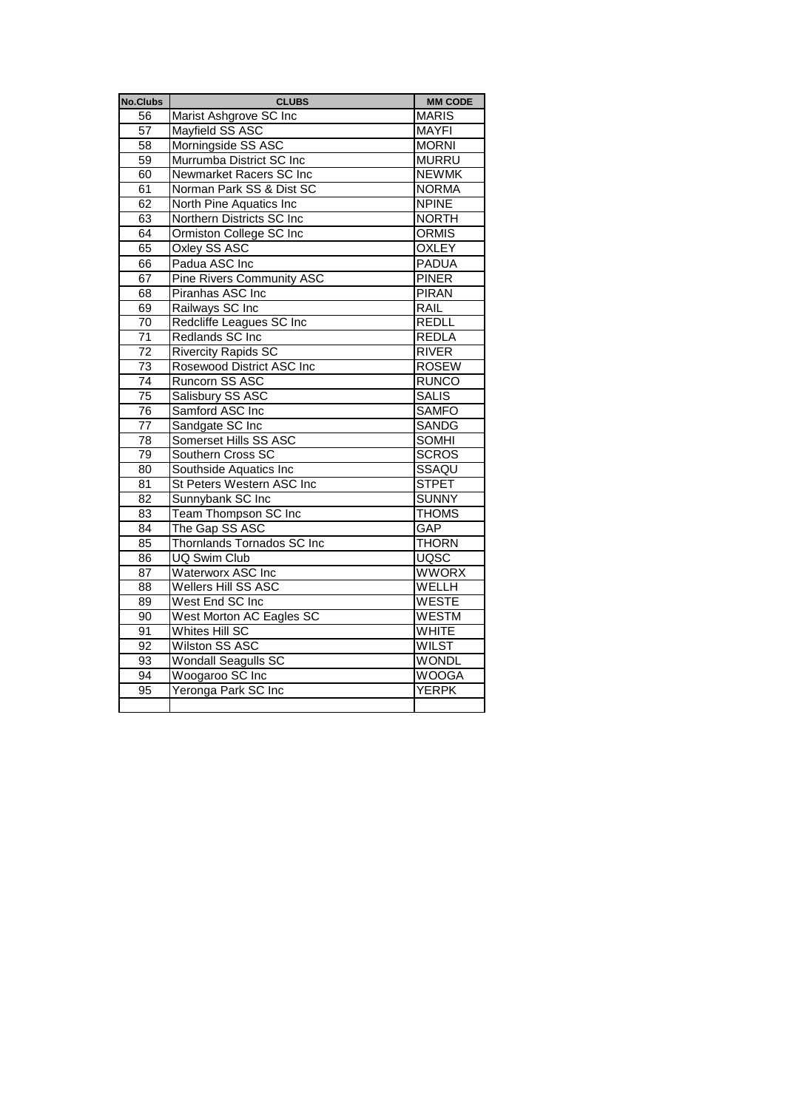| <b>No.Clubs</b> | <b>CLUBS</b>                     | <b>MM CODE</b> |
|-----------------|----------------------------------|----------------|
| 56              | Marist Ashgrove SC Inc           | <b>MARIS</b>   |
| $\overline{57}$ | Mayfield SS ASC                  | <b>MAYFI</b>   |
| 58              | Morningside SS ASC               | <b>MORNI</b>   |
| 59              | Murrumba District SC Inc         | <b>MURRU</b>   |
| 60              | Newmarket Racers SC Inc          | <b>NEWMK</b>   |
| 61              | Norman Park SS & Dist SC         | <b>NORMA</b>   |
| 62              | North Pine Aquatics Inc          | <b>NPINE</b>   |
| 63              | Northern Districts SC Inc        | <b>NORTH</b>   |
| 64              | Ormiston College SC Inc          | <b>ORMIS</b>   |
| 65              | <b>Oxley SS ASC</b>              | <b>OXLEY</b>   |
| 66              | Padua ASC Inc                    | <b>PADUA</b>   |
| 67              | <b>Pine Rivers Community ASC</b> | <b>PINER</b>   |
| $\overline{68}$ | Piranhas ASC Inc                 | <b>PIRAN</b>   |
| 69              | Railways SC Inc                  | RAIL           |
| $\overline{70}$ | Redcliffe Leagues SC Inc         | <b>REDLL</b>   |
| $\overline{71}$ | Redlands SC Inc                  | <b>REDLA</b>   |
| $\overline{72}$ | <b>Rivercity Rapids SC</b>       | <b>RIVER</b>   |
| 73              | Rosewood District ASC Inc        | <b>ROSEW</b>   |
| $\overline{74}$ | Runcorn SS ASC                   | <b>RUNCO</b>   |
| $\overline{75}$ | Salisbury SS ASC                 | <b>SALIS</b>   |
| 76              | Samford ASC Inc                  | <b>SAMFO</b>   |
| 77              | Sandgate SC Inc                  | SANDG          |
| 78              | Somerset Hills SS ASC            | <b>SOMHI</b>   |
| 79              | Southern Cross SC                | <b>SCROS</b>   |
| 80              | Southside Aquatics Inc           | <b>SSAQU</b>   |
| 81              | St Peters Western ASC Inc        | <b>STPET</b>   |
| $\overline{82}$ | Sunnybank SC Inc                 | <b>SUNNY</b>   |
| 83              | Team Thompson SC Inc             | <b>THOMS</b>   |
| 84              | The Gap SS ASC                   | GAP            |
| 85              | Thornlands Tornados SC Inc       | <b>THORN</b>   |
| 86              | UQ Swim Club                     | UQSC           |
| 87              | <b>Waterworx ASC Inc</b>         | <b>WWORX</b>   |
| 88              | <b>Wellers Hill SS ASC</b>       | WELLH          |
| 89              | West End SC Inc                  | <b>WESTE</b>   |
| $\overline{90}$ | West Morton AC Eagles SC         | <b>WESTM</b>   |
| $\overline{91}$ | Whites Hill SC                   | <b>WHITE</b>   |
| $\overline{92}$ | <b>Wilston SS ASC</b>            | WILST          |
| 93              | <b>Wondall Seagulls SC</b>       | <b>WONDL</b>   |
| 94              | Woogaroo SC Inc                  | <b>WOOGA</b>   |
| $\overline{95}$ | Yeronga Park SC Inc              | <b>YERPK</b>   |
|                 |                                  |                |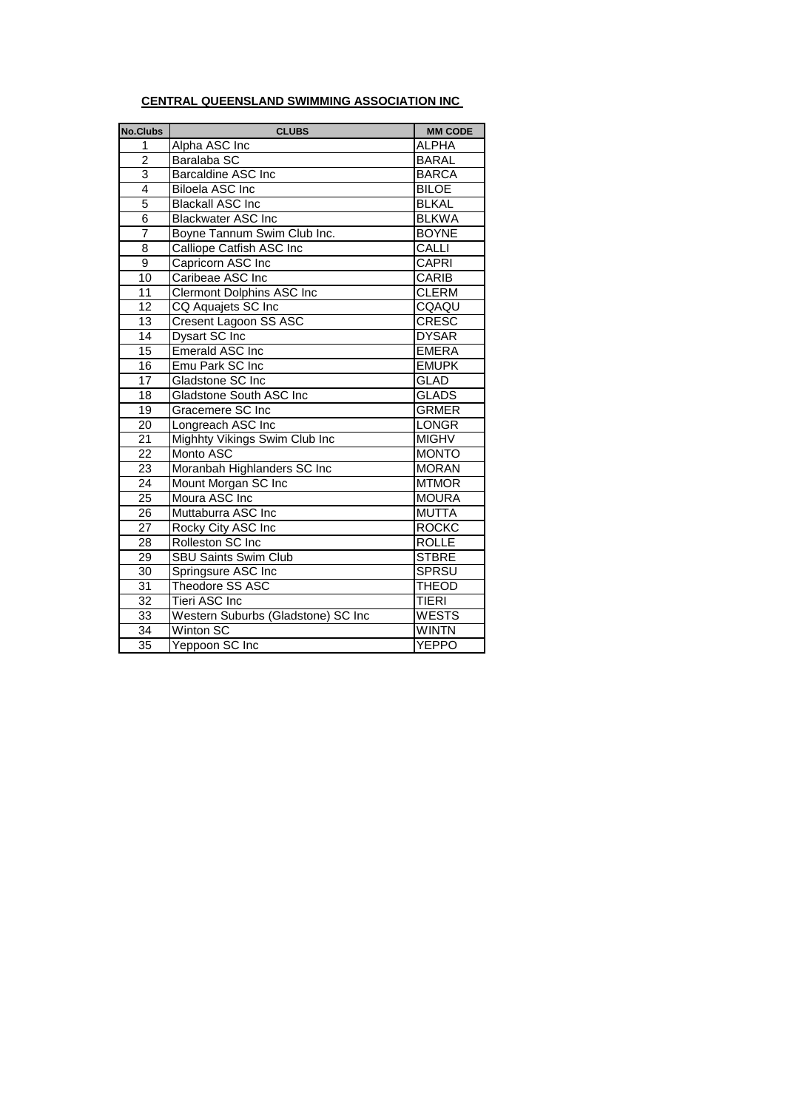| <b>No.Clubs</b> | <b>CLUBS</b>                       | <b>MM CODE</b> |
|-----------------|------------------------------------|----------------|
| 1               | Alpha ASC Inc                      | <b>ALPHA</b>   |
| $\overline{2}$  | Baralaba SC                        | <b>BARAL</b>   |
| $\overline{3}$  | <b>Barcaldine ASC Inc</b>          | <b>BARCA</b>   |
| $\overline{4}$  | <b>Biloela ASC Inc</b>             | <b>BILOE</b>   |
| 5               | <b>Blackall ASC Inc</b>            | <b>BLKAL</b>   |
| $\overline{6}$  | <b>Blackwater ASC Inc</b>          | <b>BLKWA</b>   |
| 7               | Boyne Tannum Swim Club Inc.        | <b>BOYNE</b>   |
| $\overline{8}$  | Calliope Catfish ASC Inc           | <b>CALLI</b>   |
| $\overline{9}$  | Capricorn ASC Inc                  | <b>CAPRI</b>   |
| 10              | Caribeae ASC Inc                   | CARIB          |
| 11              | <b>Clermont Dolphins ASC Inc</b>   | <b>CLERM</b>   |
| $\overline{12}$ | CQ Aquajets SC Inc                 | CQAQU          |
| 13              | Cresent Lagoon SS ASC              | <b>CRESC</b>   |
| $\overline{14}$ | <b>Dysart SC Inc</b>               | <b>DYSAR</b>   |
| 15              | <b>Emerald ASC Inc</b>             | <b>EMERA</b>   |
| $\overline{16}$ | Emu Park SC Inc                    | <b>EMUPK</b>   |
| $\overline{17}$ | Gladstone SC Inc                   | <b>GLAD</b>    |
| 18              | Gladstone South ASC Inc            | <b>GLADS</b>   |
| 19              | Gracemere SC Inc                   | <b>GRMER</b>   |
| $\overline{20}$ | Longreach ASC Inc                  | <b>LONGR</b>   |
| $\overline{21}$ | Mighhty Vikings Swim Club Inc      | <b>MIGHV</b>   |
| $\overline{22}$ | Monto ASC                          | <b>MONTO</b>   |
| 23              | Moranbah Highlanders SC Inc        | <b>MORAN</b>   |
| $\overline{24}$ | Mount Morgan SC Inc                | <b>MTMOR</b>   |
| $\overline{25}$ | Moura ASC Inc                      | <b>MOURA</b>   |
| 26              | Muttaburra ASC Inc                 | <b>MUTTA</b>   |
| $\overline{27}$ | Rocky City ASC Inc                 | <b>ROCKC</b>   |
| 28              | Rolleston SC Inc                   | <b>ROLLE</b>   |
| 29              | <b>SBU Saints Swim Club</b>        | <b>STBRE</b>   |
| 30              | Springsure ASC Inc                 | <b>SPRSU</b>   |
| $\overline{31}$ | Theodore SS ASC                    | <b>THEOD</b>   |
| $\overline{32}$ | Tieri ASC Inc                      | <b>TIERI</b>   |
| 33              | Western Suburbs (Gladstone) SC Inc | <b>WESTS</b>   |
| $\overline{34}$ | <b>Winton SC</b>                   | <b>WINTN</b>   |
| $\overline{35}$ | Yeppoon SC Inc                     | <b>YEPPO</b>   |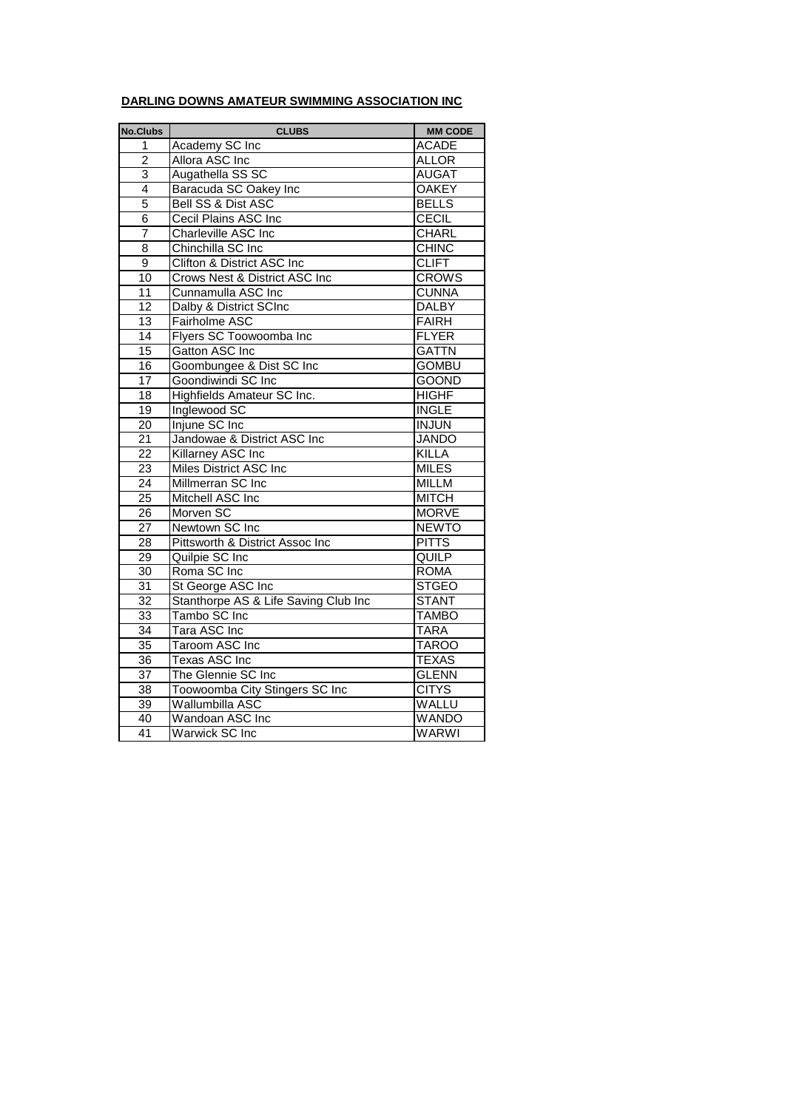| <b>No.Clubs</b> | <b>CLUBS</b>                         | <b>MM CODE</b> |
|-----------------|--------------------------------------|----------------|
| 1               | Academy SC Inc                       | <b>ACADE</b>   |
| $\overline{2}$  | Allora ASC Inc                       | <b>ALLOR</b>   |
| 3               | Augathella SS SC                     | <b>AUGAT</b>   |
| $\overline{4}$  | Baracuda SC Oakey Inc                | <b>OAKEY</b>   |
| 5               | Bell SS & Dist ASC                   | <b>BELLS</b>   |
| $\overline{6}$  | Cecil Plains ASC Inc                 | <b>CECIL</b>   |
| 7               | Charleville ASC Inc                  | <b>CHARL</b>   |
| $\overline{8}$  | Chinchilla SC Inc                    | <b>CHINC</b>   |
| $\overline{9}$  | Clifton & District ASC Inc           | <b>CLIFT</b>   |
| $\overline{10}$ | Crows Nest & District ASC Inc        | <b>CROWS</b>   |
| 11              | Cunnamulla ASC Inc                   | <b>CUNNA</b>   |
| $\overline{12}$ | Dalby & District SCInc               | <b>DALBY</b>   |
| $\overline{13}$ | Fairholme ASC                        | <b>FAIRH</b>   |
| 14              | Flyers SC Toowoomba Inc              | <b>FLYER</b>   |
| 15              | Gatton ASC Inc                       | <b>GATTN</b>   |
| 16              | Goombungee & Dist SC Inc             | <b>GOMBU</b>   |
| $\overline{17}$ | Goondiwindi SC Inc                   | <b>GOOND</b>   |
| 18              | Highfields Amateur SC Inc.           | <b>HIGHF</b>   |
| 19              | Inglewood SC                         | <b>INGLE</b>   |
| $\overline{20}$ | Injune SC Inc                        | <b>INJUN</b>   |
| $\overline{21}$ | Jandowae & District ASC Inc          | <b>JANDO</b>   |
| $\overline{22}$ | Killarney ASC Inc                    | <b>KILLA</b>   |
| $\overline{23}$ | Miles District ASC Inc               | <b>MILES</b>   |
| $\overline{24}$ | Millmerran SC Inc                    | <b>MILLM</b>   |
| $\overline{25}$ | Mitchell ASC Inc                     | <b>MITCH</b>   |
| $\overline{26}$ | Morven SC                            | <b>MORVE</b>   |
| 27              | Newtown SC Inc                       | <b>NEWTO</b>   |
| 28              | Pittsworth & District Assoc Inc      | <b>PITTS</b>   |
| 29              | Quilpie SC Inc                       | QUILP          |
| 30              | Roma SC Inc                          | <b>ROMA</b>    |
| $\overline{31}$ | St George ASC Inc                    | <b>STGEO</b>   |
| $\overline{32}$ | Stanthorpe AS & Life Saving Club Inc | <b>STANT</b>   |
| 33              | Tambo SC Inc                         | <b>TAMBO</b>   |
| $\overline{34}$ | Tara ASC Inc                         | <b>TARA</b>    |
| $\overline{35}$ | Taroom ASC Inc                       | <b>TAROO</b>   |
| $\overline{36}$ | Texas ASC Inc                        | <b>TEXAS</b>   |
| $\overline{37}$ | The Glennie SC Inc                   | <b>GLENN</b>   |
| 38              | Toowoomba City Stingers SC Inc       | <b>CITYS</b>   |
| $\overline{39}$ | Wallumbilla ASC                      | WALLU          |
| 40              | Wandoan ASC Inc                      | <b>WANDO</b>   |
| 41              | <b>Warwick SC Inc</b>                | <b>WARWI</b>   |

### **DARLING DOWNS AMATEUR SWIMMING ASSOCIATION INC**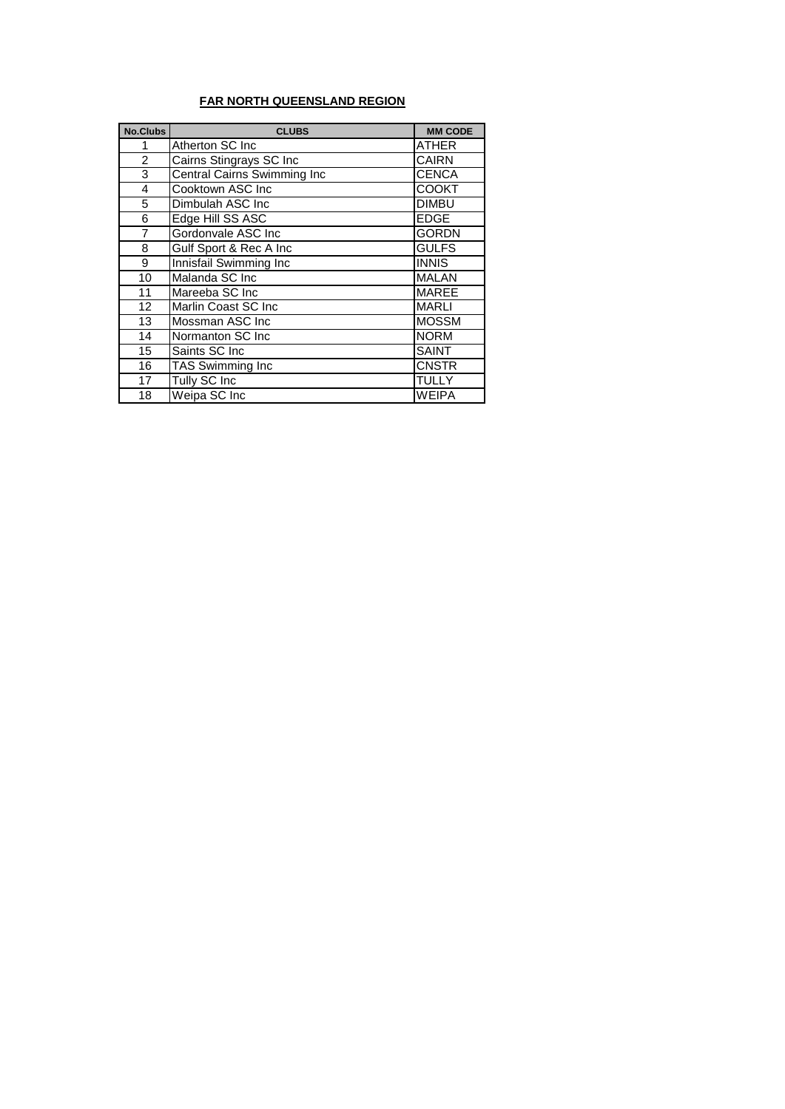### **FAR NORTH QUEENSLAND REGION**

| <b>No.Clubs</b> | <b>CLUBS</b>                       | <b>MM CODE</b> |
|-----------------|------------------------------------|----------------|
| 1               | Atherton SC Inc.                   | ATHER          |
| $\overline{2}$  | Cairns Stingrays SC Inc            | <b>CAIRN</b>   |
| 3               | <b>Central Cairns Swimming Inc</b> | <b>CENCA</b>   |
| 4               | Cooktown ASC Inc                   | <b>COOKT</b>   |
| 5               | Dimbulah ASC Inc.                  | <b>DIMBU</b>   |
| 6               | Edge Hill SS ASC                   | <b>EDGE</b>    |
| $\overline{7}$  | Gordonvale ASC Inc                 | <b>GORDN</b>   |
| 8               | Gulf Sport & Rec A Inc             | <b>GULFS</b>   |
| 9               | Innisfail Swimming Inc             | <b>INNIS</b>   |
| 10              | Malanda SC Inc                     | <b>MALAN</b>   |
| 11              | Mareeba SC Inc                     | <b>MAREE</b>   |
| 12              | Marlin Coast SC Inc                | <b>MARLI</b>   |
| 13              | Mossman ASC Inc                    | <b>MOSSM</b>   |
| 14              | Normanton SC Inc.                  | <b>NORM</b>    |
| 15              | Saints SC Inc                      | <b>SAINT</b>   |
| 16              | TAS Swimming Inc                   | <b>CNSTR</b>   |
| 17              | Tully SC Inc                       | <b>TULLY</b>   |
| 18              | Weipa SC Inc                       | <b>WEIPA</b>   |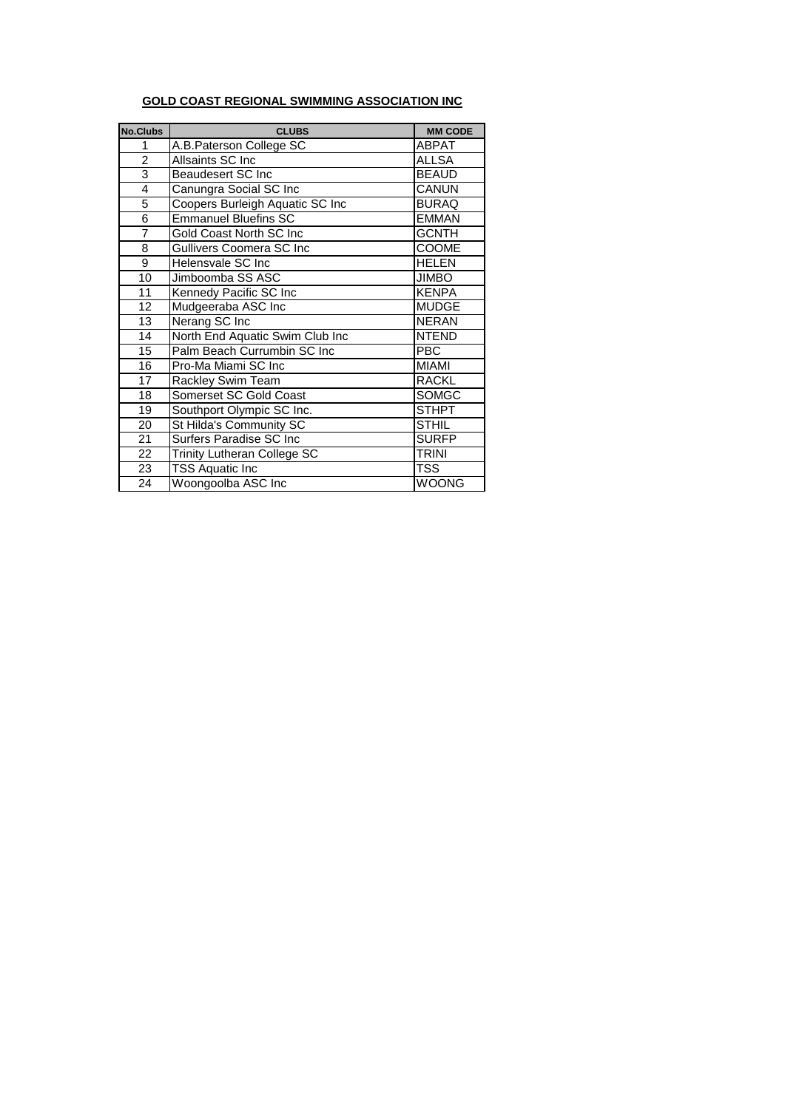### **GOLD COAST REGIONAL SWIMMING ASSOCIATION INC**

| <b>No.Clubs</b> | <b>CLUBS</b>                    | <b>MM CODE</b> |
|-----------------|---------------------------------|----------------|
| 1               | A.B. Paterson College SC        | <b>ABPAT</b>   |
| $\overline{c}$  | Allsaints SC Inc                | <b>ALLSA</b>   |
| 3               | Beaudesert SC Inc               | <b>BEAUD</b>   |
| 4               | Canungra Social SC Inc          | CANUN          |
| 5               | Coopers Burleigh Aquatic SC Inc | <b>BURAQ</b>   |
| 6               | <b>Emmanuel Bluefins SC</b>     | <b>EMMAN</b>   |
| 7               | Gold Coast North SC Inc         | <b>GCNTH</b>   |
| 8               | Gullivers Coomera SC Inc        | <b>COOME</b>   |
| 9               | Helensvale SC Inc               | <b>HELEN</b>   |
| 10              | Jimboomba SS ASC                | <b>JIMBO</b>   |
| 11              | Kennedy Pacific SC Inc          | <b>KENPA</b>   |
| 12              | Mudgeeraba ASC Inc              | <b>MUDGE</b>   |
| 13              | Nerang SC Inc                   | <b>NERAN</b>   |
| 14              | North End Aquatic Swim Club Inc | <b>NTEND</b>   |
| 15 <sub>1</sub> | Palm Beach Currumbin SC Inc     | <b>PBC</b>     |
| 16              | Pro-Ma Miami SC Inc             | <b>MIAMI</b>   |
| 17              | Rackley Swim Team               | <b>RACKL</b>   |
| 18              | Somerset SC Gold Coast          | <b>SOMGC</b>   |
| 19              | Southport Olympic SC Inc.       | <b>STHPT</b>   |
| 20              | St Hilda's Community SC         | <b>STHIL</b>   |
| 21              | Surfers Paradise SC Inc         | <b>SURFP</b>   |
| 22              | Trinity Lutheran College SC     | <b>TRINI</b>   |
| 23              | <b>TSS Aquatic Inc</b>          | <b>TSS</b>     |
| 24              | Woongoolba ASC Inc              | <b>WOONG</b>   |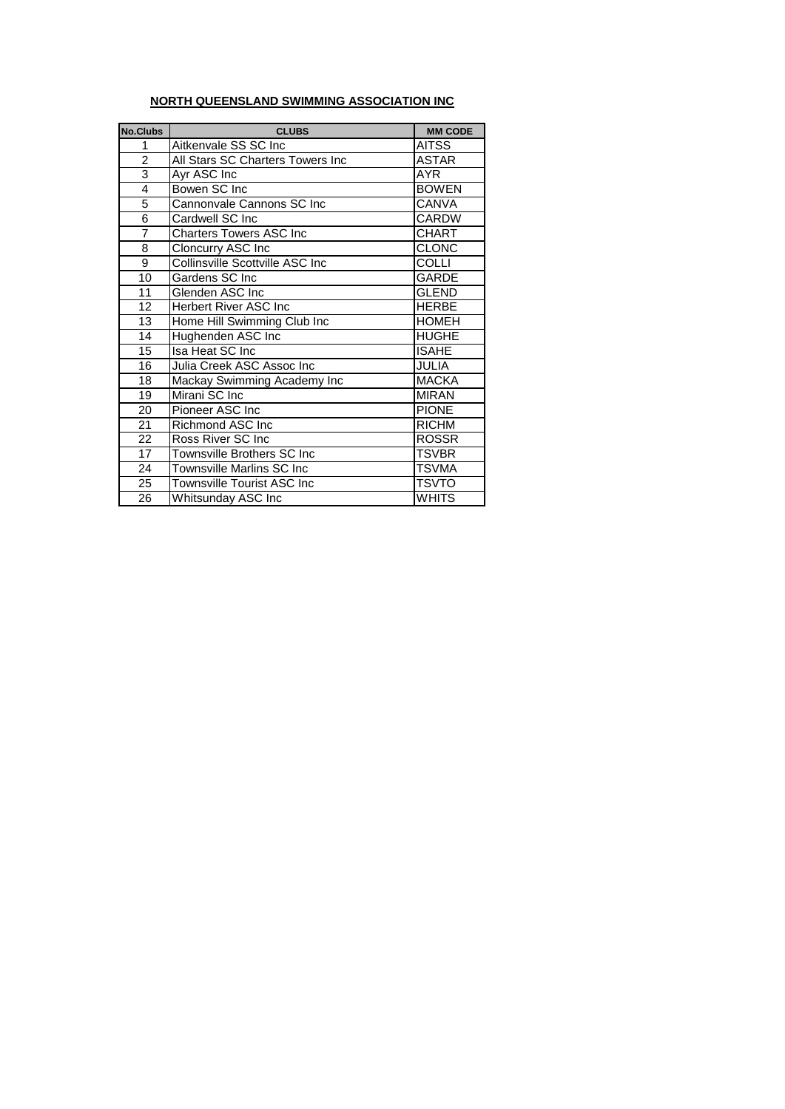# **NORTH QUEENSLAND SWIMMING ASSOCIATION INC**

| <b>No.Clubs</b> | <b>CLUBS</b>                      | <b>MM CODE</b> |
|-----------------|-----------------------------------|----------------|
| 1               | Aitkenvale SS SC Inc.             | <b>AITSS</b>   |
| $\overline{c}$  | All Stars SC Charters Towers Inc  | ASTAR          |
| 3               | Ayr ASC Inc                       | <b>AYR</b>     |
| $\overline{4}$  | Bowen SC Inc                      | <b>BOWEN</b>   |
| 5               | Cannonvale Cannons SC Inc         | CANVA          |
| 6               | Cardwell SC Inc                   | CARDW          |
| 7               | <b>Charters Towers ASC Inc</b>    | <b>CHART</b>   |
| 8               | <b>Cloncurry ASC Inc</b>          | <b>CLONC</b>   |
| 9               | Collinsville Scottville ASC Inc   | <b>COLLI</b>   |
| 10              | Gardens SC Inc                    | <b>GARDE</b>   |
| 11              | Glenden ASC Inc                   | <b>GLEND</b>   |
| 12 <sup>2</sup> | Herbert River ASC Inc             | <b>HERBE</b>   |
| 13              | Home Hill Swimming Club Inc       | <b>HOMEH</b>   |
| 14              | Hughenden ASC Inc                 | <b>HUGHE</b>   |
| 15              | Isa Heat SC Inc                   | <b>ISAHE</b>   |
| 16              | Julia Creek ASC Assoc Inc         | <b>JULIA</b>   |
| 18              | Mackay Swimming Academy Inc       | <b>MACKA</b>   |
| 19              | Mirani SC Inc                     | <b>MIRAN</b>   |
| 20              | Pioneer ASC Inc                   | <b>PIONE</b>   |
| 21              | Richmond ASC Inc                  | <b>RICHM</b>   |
| $\overline{22}$ | Ross River SC Inc                 | <b>ROSSR</b>   |
| 17              | Townsville Brothers SC Inc        | <b>TSVBR</b>   |
| 24              | <b>Townsville Marlins SC Inc.</b> | <b>TSVMA</b>   |
| 25              | Townsville Tourist ASC Inc        | <b>TSVTO</b>   |
| 26              | Whitsunday ASC Inc                | <b>WHITS</b>   |